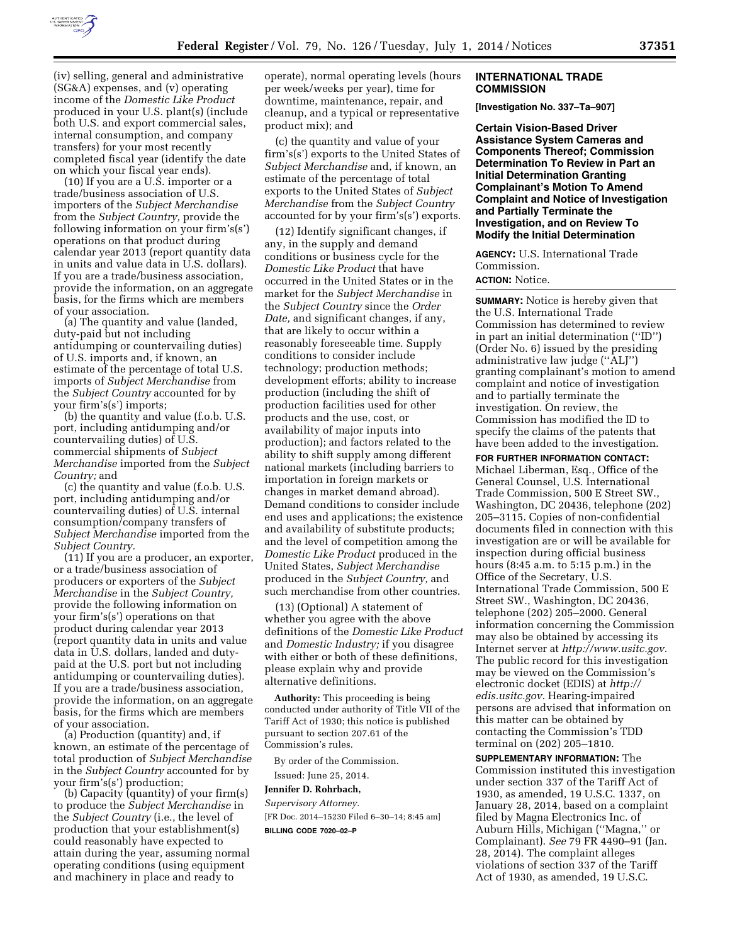

(iv) selling, general and administrative (SG&A) expenses, and (v) operating income of the *Domestic Like Product*  produced in your U.S. plant(s) (include both U.S. and export commercial sales, internal consumption, and company transfers) for your most recently completed fiscal year (identify the date on which your fiscal year ends).

(10) If you are a U.S. importer or a trade/business association of U.S. importers of the *Subject Merchandise*  from the *Subject Country,* provide the following information on your firm's(s') operations on that product during calendar year 2013 (report quantity data in units and value data in U.S. dollars). If you are a trade/business association, provide the information, on an aggregate basis, for the firms which are members of your association.

(a) The quantity and value (landed, duty-paid but not including antidumping or countervailing duties) of U.S. imports and, if known, an estimate of the percentage of total U.S. imports of *Subject Merchandise* from the *Subject Country* accounted for by your firm's(s') imports;

(b) the quantity and value (f.o.b. U.S. port, including antidumping and/or countervailing duties) of U.S. commercial shipments of *Subject Merchandise* imported from the *Subject Country;* and

(c) the quantity and value (f.o.b. U.S. port, including antidumping and/or countervailing duties) of U.S. internal consumption/company transfers of *Subject Merchandise* imported from the *Subject Country.* 

(11) If you are a producer, an exporter, or a trade/business association of producers or exporters of the *Subject Merchandise* in the *Subject Country,*  provide the following information on your firm's(s') operations on that product during calendar year 2013 (report quantity data in units and value data in U.S. dollars, landed and dutypaid at the U.S. port but not including antidumping or countervailing duties). If you are a trade/business association, provide the information, on an aggregate basis, for the firms which are members of your association.

(a) Production (quantity) and, if known, an estimate of the percentage of total production of *Subject Merchandise*  in the *Subject Country* accounted for by your firm's(s') production;

(b) Capacity (quantity) of your firm(s) to produce the *Subject Merchandise* in the *Subject Country* (i.e., the level of production that your establishment(s) could reasonably have expected to attain during the year, assuming normal operating conditions (using equipment and machinery in place and ready to

operate), normal operating levels (hours per week/weeks per year), time for downtime, maintenance, repair, and cleanup, and a typical or representative product mix); and

(c) the quantity and value of your firm's(s') exports to the United States of *Subject Merchandise* and, if known, an estimate of the percentage of total exports to the United States of *Subject Merchandise* from the *Subject Country*  accounted for by your firm's(s') exports.

(12) Identify significant changes, if any, in the supply and demand conditions or business cycle for the *Domestic Like Product* that have occurred in the United States or in the market for the *Subject Merchandise* in the *Subject Country* since the *Order Date,* and significant changes, if any, that are likely to occur within a reasonably foreseeable time. Supply conditions to consider include technology; production methods; development efforts; ability to increase production (including the shift of production facilities used for other products and the use, cost, or availability of major inputs into production); and factors related to the ability to shift supply among different national markets (including barriers to importation in foreign markets or changes in market demand abroad). Demand conditions to consider include end uses and applications; the existence and availability of substitute products; and the level of competition among the *Domestic Like Product* produced in the United States, *Subject Merchandise*  produced in the *Subject Country,* and such merchandise from other countries.

(13) (Optional) A statement of whether you agree with the above definitions of the *Domestic Like Product*  and *Domestic Industry;* if you disagree with either or both of these definitions, please explain why and provide alternative definitions.

**Authority:** This proceeding is being conducted under authority of Title VII of the Tariff Act of 1930; this notice is published pursuant to section 207.61 of the Commission's rules.

By order of the Commission.

Issued: June 25, 2014.

#### **Jennifer D. Rohrbach,**

*Supervisory Attorney.*  [FR Doc. 2014–15230 Filed 6–30–14; 8:45 am] **BILLING CODE 7020–02–P** 

#### **INTERNATIONAL TRADE COMMISSION**

**[Investigation No. 337–Ta–907]** 

**Certain Vision-Based Driver Assistance System Cameras and Components Thereof; Commission Determination To Review in Part an Initial Determination Granting Complainant's Motion To Amend Complaint and Notice of Investigation and Partially Terminate the Investigation, and on Review To Modify the Initial Determination** 

**AGENCY:** U.S. International Trade Commission.

# **ACTION:** Notice.

**SUMMARY:** Notice is hereby given that the U.S. International Trade Commission has determined to review in part an initial determination (''ID'') (Order No. 6) issued by the presiding administrative law judge (''ALJ'') granting complainant's motion to amend complaint and notice of investigation and to partially terminate the investigation. On review, the Commission has modified the ID to specify the claims of the patents that have been added to the investigation.

**FOR FURTHER INFORMATION CONTACT:**  Michael Liberman, Esq., Office of the General Counsel, U.S. International Trade Commission, 500 E Street SW., Washington, DC 20436, telephone (202) 205–3115. Copies of non-confidential documents filed in connection with this investigation are or will be available for inspection during official business hours (8:45 a.m. to 5:15 p.m.) in the Office of the Secretary, U.S. International Trade Commission, 500 E Street SW., Washington, DC 20436, telephone (202) 205–2000. General information concerning the Commission may also be obtained by accessing its Internet server at *[http://www.usitc.gov.](http://www.usitc.gov)*  The public record for this investigation may be viewed on the Commission's electronic docket (EDIS) at *[http://](http://edis.usitc.gov) [edis.usitc.gov.](http://edis.usitc.gov)* Hearing-impaired persons are advised that information on this matter can be obtained by contacting the Commission's TDD terminal on (202) 205–1810.

**SUPPLEMENTARY INFORMATION:** The Commission instituted this investigation under section 337 of the Tariff Act of 1930, as amended, 19 U.S.C. 1337, on January 28, 2014, based on a complaint filed by Magna Electronics Inc. of Auburn Hills, Michigan (''Magna,'' or Complainant). *See* 79 FR 4490–91 (Jan. 28, 2014). The complaint alleges violations of section 337 of the Tariff Act of 1930, as amended, 19 U.S.C.